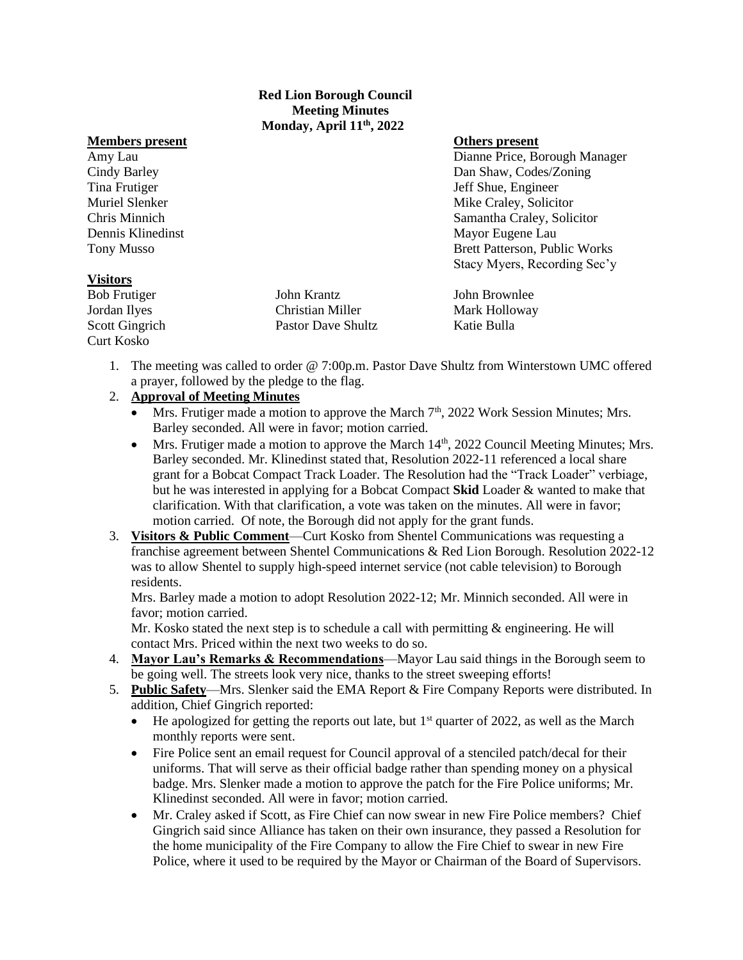### **Red Lion Borough Council Meeting Minutes Monday, April 11th, 2022**

### **Members present Community Community Community Community Community Community Community Community Community Community Community Community Community Community Community Community Community Community Community Community Commu**

### **Visitors**

Bob Frutiger John Krantz John Brownlee Jordan Ilyes Christian Miller Mark Holloway Scott Gingrich Pastor Dave Shultz Katie Bulla Curt Kosko

Amy Lau Dianne Price, Borough Manager Cindy Barley Dan Shaw, Codes/Zoning Tina Frutiger Shue, Engineer Shue, Engineer Shue, Engineer Shue, Engineer Muriel Slenker **Mike Craley**, Solicitor **Mike Craley**, Solicitor Chris Minnich Samantha Craley, Solicitor Dennis Klinedinst Mayor Eugene Lau Tony Musso Brett Patterson, Public Works Stacy Myers, Recording Sec'y

1. The meeting was called to order @ 7:00p.m. Pastor Dave Shultz from Winterstown UMC offered a prayer, followed by the pledge to the flag.

# 2. **Approval of Meeting Minutes**

- Mrs. Frutiger made a motion to approve the March  $7<sup>th</sup>$ , 2022 Work Session Minutes; Mrs. Barley seconded. All were in favor; motion carried.
- Mrs. Frutiger made a motion to approve the March  $14<sup>th</sup>$ , 2022 Council Meeting Minutes; Mrs. Barley seconded. Mr. Klinedinst stated that, Resolution 2022-11 referenced a local share grant for a Bobcat Compact Track Loader. The Resolution had the "Track Loader" verbiage, but he was interested in applying for a Bobcat Compact **Skid** Loader & wanted to make that clarification. With that clarification, a vote was taken on the minutes. All were in favor; motion carried. Of note, the Borough did not apply for the grant funds.
- 3. **Visitors & Public Comment**—Curt Kosko from Shentel Communications was requesting a franchise agreement between Shentel Communications & Red Lion Borough. Resolution 2022-12 was to allow Shentel to supply high-speed internet service (not cable television) to Borough residents.

Mrs. Barley made a motion to adopt Resolution 2022-12; Mr. Minnich seconded. All were in favor; motion carried.

Mr. Kosko stated the next step is to schedule a call with permitting  $\&$  engineering. He will contact Mrs. Priced within the next two weeks to do so.

- 4. **Mayor Lau's Remarks & Recommendations**—Mayor Lau said things in the Borough seem to be going well. The streets look very nice, thanks to the street sweeping efforts!
- 5. **Public Safety**—Mrs. Slenker said the EMA Report & Fire Company Reports were distributed. In addition, Chief Gingrich reported:
	- He apologized for getting the reports out late, but  $1<sup>st</sup>$  quarter of 2022, as well as the March monthly reports were sent.
	- Fire Police sent an email request for Council approval of a stenciled patch/decal for their uniforms. That will serve as their official badge rather than spending money on a physical badge. Mrs. Slenker made a motion to approve the patch for the Fire Police uniforms; Mr. Klinedinst seconded. All were in favor; motion carried.
	- Mr. Craley asked if Scott, as Fire Chief can now swear in new Fire Police members? Chief Gingrich said since Alliance has taken on their own insurance, they passed a Resolution for the home municipality of the Fire Company to allow the Fire Chief to swear in new Fire Police, where it used to be required by the Mayor or Chairman of the Board of Supervisors.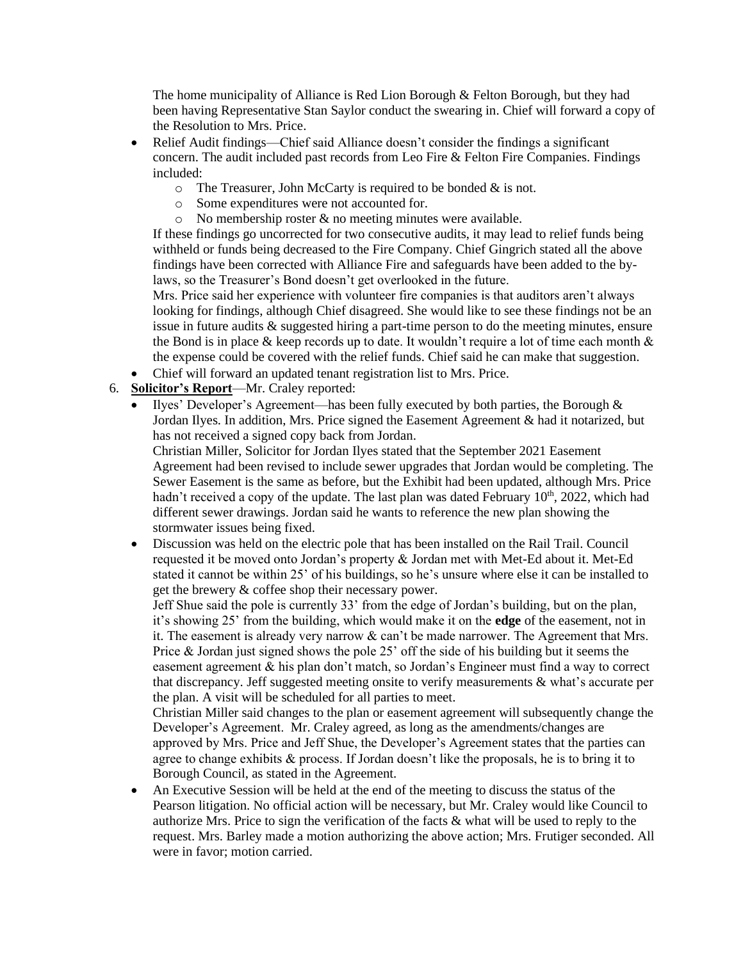The home municipality of Alliance is Red Lion Borough & Felton Borough, but they had been having Representative Stan Saylor conduct the swearing in. Chief will forward a copy of the Resolution to Mrs. Price.

- Relief Audit findings—Chief said Alliance doesn't consider the findings a significant concern. The audit included past records from Leo Fire & Felton Fire Companies. Findings included:
	- $\circ$  The Treasurer, John McCarty is required to be bonded & is not.
	- o Some expenditures were not accounted for.
	- $\circ$  No membership roster & no meeting minutes were available.

If these findings go uncorrected for two consecutive audits, it may lead to relief funds being withheld or funds being decreased to the Fire Company. Chief Gingrich stated all the above findings have been corrected with Alliance Fire and safeguards have been added to the bylaws, so the Treasurer's Bond doesn't get overlooked in the future.

Mrs. Price said her experience with volunteer fire companies is that auditors aren't always looking for findings, although Chief disagreed. She would like to see these findings not be an issue in future audits & suggested hiring a part-time person to do the meeting minutes, ensure the Bond is in place  $\&$  keep records up to date. It wouldn't require a lot of time each month  $\&$ the expense could be covered with the relief funds. Chief said he can make that suggestion.

- Chief will forward an updated tenant registration list to Mrs. Price.
- 6. **Solicitor's Report**—Mr. Craley reported:
	- Ilyes' Developer's Agreement—has been fully executed by both parties, the Borough  $\&$ Jordan Ilyes. In addition, Mrs. Price signed the Easement Agreement & had it notarized, but has not received a signed copy back from Jordan.

Christian Miller, Solicitor for Jordan Ilyes stated that the September 2021 Easement Agreement had been revised to include sewer upgrades that Jordan would be completing. The Sewer Easement is the same as before, but the Exhibit had been updated, although Mrs. Price hadn't received a copy of the update. The last plan was dated February 10<sup>th</sup>, 2022, which had different sewer drawings. Jordan said he wants to reference the new plan showing the stormwater issues being fixed.

• Discussion was held on the electric pole that has been installed on the Rail Trail. Council requested it be moved onto Jordan's property & Jordan met with Met-Ed about it. Met-Ed stated it cannot be within 25' of his buildings, so he's unsure where else it can be installed to get the brewery & coffee shop their necessary power.

Jeff Shue said the pole is currently 33' from the edge of Jordan's building, but on the plan, it's showing 25' from the building, which would make it on the **edge** of the easement, not in it. The easement is already very narrow  $\&$  can't be made narrower. The Agreement that Mrs. Price & Jordan just signed shows the pole 25' off the side of his building but it seems the easement agreement & his plan don't match, so Jordan's Engineer must find a way to correct that discrepancy. Jeff suggested meeting onsite to verify measurements & what's accurate per the plan. A visit will be scheduled for all parties to meet.

Christian Miller said changes to the plan or easement agreement will subsequently change the Developer's Agreement. Mr. Craley agreed, as long as the amendments/changes are approved by Mrs. Price and Jeff Shue, the Developer's Agreement states that the parties can agree to change exhibits  $\&$  process. If Jordan doesn't like the proposals, he is to bring it to Borough Council, as stated in the Agreement.

• An Executive Session will be held at the end of the meeting to discuss the status of the Pearson litigation. No official action will be necessary, but Mr. Craley would like Council to authorize Mrs. Price to sign the verification of the facts & what will be used to reply to the request. Mrs. Barley made a motion authorizing the above action; Mrs. Frutiger seconded. All were in favor; motion carried.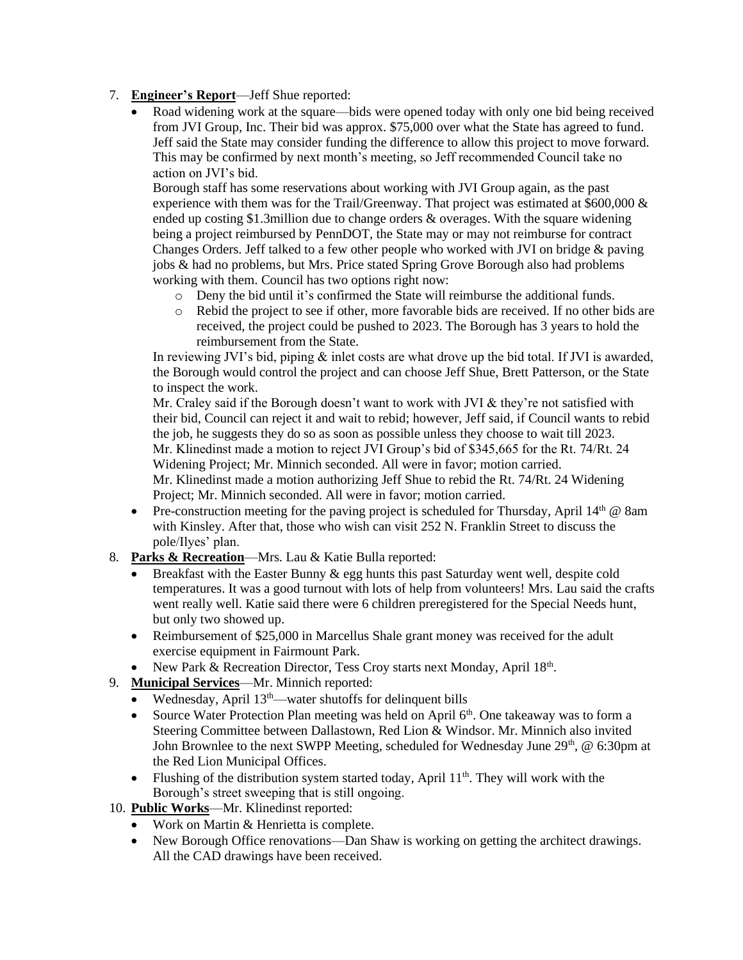## 7. **Engineer's Report**—Jeff Shue reported:

• Road widening work at the square—bids were opened today with only one bid being received from JVI Group, Inc. Their bid was approx. \$75,000 over what the State has agreed to fund. Jeff said the State may consider funding the difference to allow this project to move forward. This may be confirmed by next month's meeting, so Jeff recommended Council take no action on JVI's bid.

Borough staff has some reservations about working with JVI Group again, as the past experience with them was for the Trail/Greenway. That project was estimated at  $$600,000 \&~$ ended up costing \$1.3million due to change orders & overages. With the square widening being a project reimbursed by PennDOT, the State may or may not reimburse for contract Changes Orders. Jeff talked to a few other people who worked with JVI on bridge & paving jobs & had no problems, but Mrs. Price stated Spring Grove Borough also had problems working with them. Council has two options right now:

- o Deny the bid until it's confirmed the State will reimburse the additional funds.
- o Rebid the project to see if other, more favorable bids are received. If no other bids are received, the project could be pushed to 2023. The Borough has 3 years to hold the reimbursement from the State.

In reviewing JVI's bid, piping & inlet costs are what drove up the bid total. If JVI is awarded, the Borough would control the project and can choose Jeff Shue, Brett Patterson, or the State to inspect the work.

Mr. Craley said if the Borough doesn't want to work with JVI & they're not satisfied with their bid, Council can reject it and wait to rebid; however, Jeff said, if Council wants to rebid the job, he suggests they do so as soon as possible unless they choose to wait till 2023. Mr. Klinedinst made a motion to reject JVI Group's bid of \$345,665 for the Rt. 74/Rt. 24 Widening Project; Mr. Minnich seconded. All were in favor; motion carried. Mr. Klinedinst made a motion authorizing Jeff Shue to rebid the Rt. 74/Rt. 24 Widening Project; Mr. Minnich seconded. All were in favor; motion carried.

- Pre-construction meeting for the paving project is scheduled for Thursday, April  $14<sup>th</sup>$  @ 8am with Kinsley. After that, those who wish can visit 252 N. Franklin Street to discuss the pole/Ilyes' plan.
- 8. **Parks & Recreation**—Mrs. Lau & Katie Bulla reported:
	- Breakfast with the Easter Bunny & egg hunts this past Saturday went well, despite cold temperatures. It was a good turnout with lots of help from volunteers! Mrs. Lau said the crafts went really well. Katie said there were 6 children preregistered for the Special Needs hunt, but only two showed up.
	- Reimbursement of \$25,000 in Marcellus Shale grant money was received for the adult exercise equipment in Fairmount Park.
	- New Park & Recreation Director, Tess Croy starts next Monday, April 18th.
- 9. **Municipal Services**—Mr. Minnich reported:
	- Wednesday, April  $13<sup>th</sup>$ —water shutoffs for delinquent bills
	- Source Water Protection Plan meeting was held on April 6<sup>th</sup>. One takeaway was to form a Steering Committee between Dallastown, Red Lion & Windsor. Mr. Minnich also invited John Brownlee to the next SWPP Meeting, scheduled for Wednesday June 29<sup>th</sup>, @ 6:30pm at the Red Lion Municipal Offices.
	- Flushing of the distribution system started today, April  $11<sup>th</sup>$ . They will work with the Borough's street sweeping that is still ongoing.
- 10. **Public Works**—Mr. Klinedinst reported:
	- Work on Martin & Henrietta is complete.
	- New Borough Office renovations—Dan Shaw is working on getting the architect drawings. All the CAD drawings have been received.